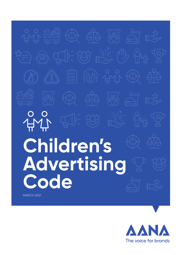# **Children's Advertising Code**

MARCH 2021

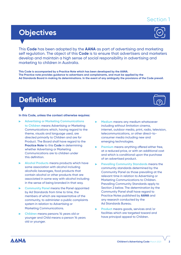## Section 1

# **Objectives**

This **Code** has been adopted by the **AANA** as part of advertising and marketing self regulation. The object of this **Code** is to ensure that advertisers and marketers develop and maintain a high sense of social responsibility in advertising and marketing to children in Australia.

**This Code is accompanied by a Practice Note which has been developed by the AANA. The Practice note provides guidance to advertisers and complainants, and must be applied by the Ad Standards Board in making its determinations. In the event of any ambiguity the provisions of the Code prevail.**

# **Definitions**

#### **In this Code, unless the context otherwise requires:**

- **Advertising or Marketing Communications to Children** means Advertising or Marketing Communications which, having regard to the theme, visuals and language used, are directed primarily to Children and are for Product. The Board shall have regard to the **Practice Note** to this **Code** in determining whether Advertising or Marketing Communications are to children under this definition.
- **Alcohol Products** means products which have some association with alcohol including alcoholic beverages, food products that contain alcohol or other products that are associated in some way with alcohol including in the sense of being branded in that way.
- **Community Panel** means the Panel appointed by Ad Standards from time to time, the members of which are representative of the community, to administer a public complaints system in relation to Advertising or Marketing Communications.
- **Children** means persons 14 years old or younger and Child means a person 14 years old or younger.
- **Medium** means any medium whatsoever including without limitation cinema, internet, outdoor media, print, radio, television, telecommunications, or other direct-toconsumer media including new and emerging technologies.
- **Premium** means anything offered either free, at a reduced price, or with an additional cost and which is conditional upon the purchase of an advertised product.
- **Prevailing Community Standards** means the community standards determined by the Community Panel as those prevailing at the relevant time in relation to Advertising or Marketing Communications to Children. Prevailing Community Standards apply to Section 2 below. The determination by the Community Panel shall have regard to Practice Notes published by **AANA** and any research conducted by the Ad Standards Bureau.
- ь **Product** means goods, services and/or facilities which are targeted toward and have principal appeal to Children.

ΔΑΝΔ



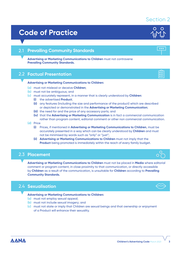## Section 2

#### **Children's Advertising Code** March 2021 **3**

# **Code of Practice**

#### **Prevailing Community Standards** 2.1

**Advertising or Marketing Communications to Children** must not contravene **Prevailing Community Standards.**

#### **Factual Presentation** 2.2

#### **Advertising or Marketing Communications to Children:**

- **(a)** must not mislead or deceive **Children**;
- **(b)** must not be ambiguous; and
- **(c)** must accurately represent, in a manner that is clearly understood by **Children**:
	- **(i)** the advertised **Product**;
	- **(ii)** any features (including the size and performance of the product) which are described or depicted or demonstrated in the **Advertising or Marketing Communication**;
	- **(iii)** the need for and the price of any accessory parts; and
	- **(iv)** that the **Advertising or Marketing Communication** is in fact a commercial communication rather than program content, editorial comment or other non commercial communication.
- **(d)** Price
	- **(i)** Prices, if mentioned in **Advertising or Marketing Communications to Children**, must be accurately presented in a way which can be clearly understood by **Children** and must not be minimised by words such as "only" or "just";
	- **(ii) Advertising or Marketing Communications to Children** must not imply that the **Product** being promoted is immediately within the reach of every family budget.

#### **Placement** 2.3

**Advertising or Marketing Communications to Children** must not be placed in **Media** where editorial comment or program content, in close proximity to that communication, or directly accessible by **Children** as a result of the communication, is unsuitable for **Children** according to **Prevailing Community Standards.**

#### 2.4 Sexualisation

**Advertising or Marketing Communications to Children:**

- **(a)** must not employ sexual appeal;
- **(b)** must not include sexual imagery; and
- **(c)** must not state or imply that Children are sexual beings and that ownership or enjoyment of a Product will enhance their sexuality.







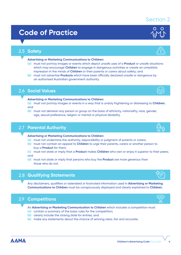# **Code of Practice**

## 2.5 **Safety**

**Advertising or Marketing Communications to Children:**

- **(a)** must not portray images or events which depict unsafe uses of a **Product** or unsafe situations which may encourage **Children** to engage in dangerous activities or create an unrealistic impression in the minds of **Children** or their parents or carers about safety; and
- **(b)** must not advertise **Products** which have been officially declared unsafe or dangerous by an authorised Australian government authority.

## 2.6 **Social Values**

**Advertising or Marketing Communications to Children:**

- **(a)** must not portray images or events in a way that is unduly frightening or distressing to **Children**; and
- **(b)** must not demean any person or group on the basis of ethnicity, nationality, race, gender, age, sexual preference, religion or mental or physical disability.

### 2.7 **Parental Authority**

**Advertising or Marketing Communications to Children:**

- **(a)** must not undermine the authority, responsibility or judgment of parents or carers;
- **(b)** must not contain an appeal to **Children** to urge their parents, carers or another person to buy a **Product** for them;
- **(c)** must not state or imply that a **Product** makes **Children** who own or enjoy it superior to their peers; and
- **(d)** must not state or imply that persons who buy the **Product** are more generous than those who do not.

### 2.8 **Qualifying Statements**

Any disclaimers, qualifiers or asterisked or footnoted information used in **Advertising or Marketing Communications to Children** must be conspicuously displayed and clearly explained to **Children.**

#### 2.9 **Competitions**

**AANA** 

An **Advertising or Marketing Communication to Children** which includes a competition must:

- **(a)** contain a summary of the basic rules for the competition;
- **(b)** clearly include the closing date for entries; and
- **(b)** make any statements about the chance of winning clear, fair and accurate.

## Section 2







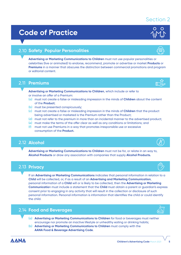#### **Children's Advertising Code** March 2021 **5**

# **Code of Practice**

#### 2.10 **Safety Popular Personalities**

**Advertising or Marketing Communications to Children** must not use popular personalities or celebrities (live or animated) to endorse, recommend, promote or advertise or market **Products** or **Premiums** in a manner that obscures the distinction between commercial promotions and program or editorial content.

#### 2.11 **Premiums**

- **Advertising or Marketing Communications to Children**, which include or refer to or involve an offer of a Premium:
- **(a)** must not create a false or misleading impression in the minds of **Children** about the content of the **Product**;
- **(b)** must be presented conspicuously;
- **(c)** must not create a false or misleading impression in the minds of **Children** that the product being advertised or marketed is the Premium rather than the Product;
- **(d)** must not refer to the premium in more than an incidental manner to the advertised product;
- **(e)** must make the terms of the offer clear as well as any conditions or limitations; and
- **(f)** must not use Premiums in a way that promotes irresponsible use or excessive consumption of the **Product.**

#### 2.12 **Alcohol**

**Advertising or Marketing Communications to Children** must not be for, or relate in an way to, **Alcohol Products** or draw any association with companies that supply **Alcohol Products.**

#### 2.13 **Privacy**

If an **Advertising or Marketing Communications** indicates that personal information in relation to a **Child** will be collected, or, if as a result of an **Advertising and Marketing Communication**, personal information of a **Child** will or is likely to be collected, then the **Advertising or Marketing Communicatio**n must include a statement that the **Child** must obtain a parent or guardian's express consent prior to engaging in any activity that will result in the collection or disclosure of such personal information. Personal information is information that identifies the child or could identify the child.

#### 2.14 **Food and Beverages**

- **(a) Advertising or Marketing Communications to Children** for food or beverages must neither encourage nor promote an inactive lifestyle or unhealthy eating or drinking habits;
- **(b) Advertising or Marketing Communications to Children** must comply with the **AANA Food & Beverage Advertising Code**.